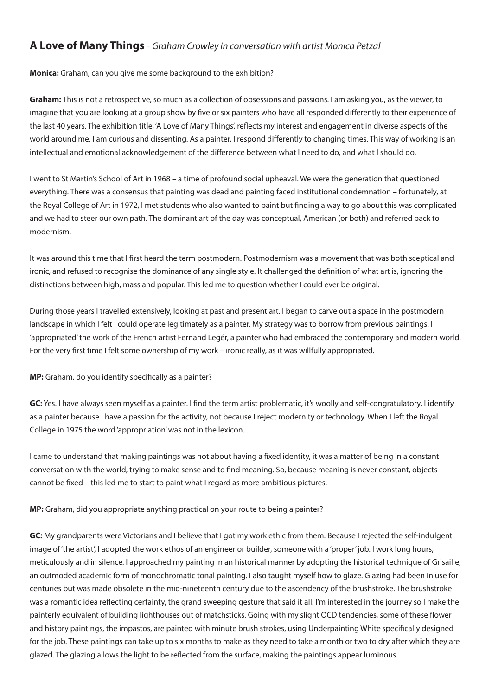# **A Love of Many Things** – *Graham Crowley in conversation with artist Monica Petzal*

## **Monica:** Graham, can you give me some background to the exhibition?

**Graham:** This is not a retrospective, so much as a collection of obsessions and passions. I am asking you, as the viewer, to imagine that you are looking at a group show by five or six painters who have all responded differently to their experience of the last 40 years. The exhibition title, 'A Love of Many Things', reflects my interest and engagement in diverse aspects of the world around me. I am curious and dissenting. As a painter, I respond differently to changing times. This way of working is an intellectual and emotional acknowledgement of the difference between what I need to do, and what I should do.

I went to St Martin's School of Art in 1968 – a time of profound social upheaval. We were the generation that questioned everything. There was a consensus that painting was dead and painting faced institutional condemnation – fortunately, at the Royal College of Art in 1972, I met students who also wanted to paint but finding a way to go about this was complicated and we had to steer our own path. The dominant art of the day was conceptual, American (or both) and referred back to modernism.

It was around this time that I first heard the term postmodern. Postmodernism was a movement that was both sceptical and ironic, and refused to recognise the dominance of any single style. It challenged the definition of what art is, ignoring the distinctions between high, mass and popular. This led me to question whether I could ever be original.

During those years I travelled extensively, looking at past and present art. I began to carve out a space in the postmodern landscape in which I felt I could operate legitimately as a painter. My strategy was to borrow from previous paintings. I 'appropriated' the work of the French artist Fernand Legér, a painter who had embraced the contemporary and modern world. For the very first time I felt some ownership of my work – ironic really, as it was willfully appropriated.

## **MP:** Graham, do you identify specifically as a painter?

**GC:** Yes. I have always seen myself as a painter. I find the term artist problematic, it's woolly and self-congratulatory. I identify as a painter because I have a passion for the activity, not because I reject modernity or technology. When I left the Royal College in 1975 the word 'appropriation' was not in the lexicon.

I came to understand that making paintings was not about having a fixed identity, it was a matter of being in a constant conversation with the world, trying to make sense and to find meaning. So, because meaning is never constant, objects cannot be fixed – this led me to start to paint what I regard as more ambitious pictures.

**MP:** Graham, did you appropriate anything practical on your route to being a painter?

**GC:** My grandparents were Victorians and I believe that I got my work ethic from them. Because I rejected the self-indulgent image of 'the artist', I adopted the work ethos of an engineer or builder, someone with a 'proper' job. I work long hours, meticulously and in silence. I approached my painting in an historical manner by adopting the historical technique of Grisaille, an outmoded academic form of monochromatic tonal painting. I also taught myself how to glaze. Glazing had been in use for centuries but was made obsolete in the mid-nineteenth century due to the ascendency of the brushstroke. The brushstroke was a romantic idea reflecting certainty, the grand sweeping gesture that said it all. I'm interested in the journey so I make the painterly equivalent of building lighthouses out of matchsticks. Going with my slight OCD tendencies, some of these flower and history paintings, the impastos, are painted with minute brush strokes, using Underpainting White specifically designed for the job. These paintings can take up to six months to make as they need to take a month or two to dry after which they are glazed. The glazing allows the light to be reflected from the surface, making the paintings appear luminous.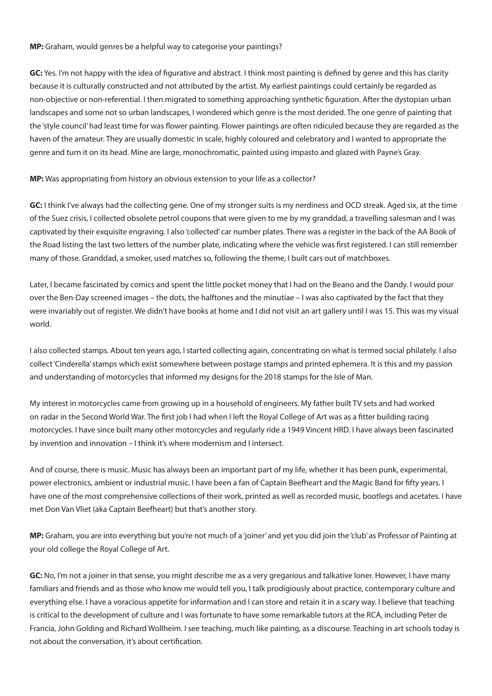#### **MP:** Graham, would genres be a helpful way to categorise your paintings?

**GC:** Yes. I'm not happy with the idea of figurative and abstract. I think most painting is defined by genre and this has clarity because it is culturally constructed and not attributed by the artist. My earliest paintings could certainly be regarded as non-objective or non-referential. I then migrated to something approaching synthetic figuration. After the dystopian urban landscapes and some not so urban landscapes, I wondered which genre is the most derided. The one genre of painting that the 'style council' had least time for was flower painting. Flower paintings are often ridiculed because they are regarded as the haven of the amateur. They are usually domestic in scale, highly coloured and celebratory and I wanted to appropriate the genre and turn it on its head. Mine are large, monochromatic, painted using impasto and glazed with Payne's Gray.

## **MP:** Was appropriating from history an obvious extension to your life as a collector?

**GC:** I think I've always had the collecting gene. One of my stronger suits is my nerdiness and OCD streak. Aged six, at the time of the Suez crisis, I collected obsolete petrol coupons that were given to me by my granddad, a travelling salesman and I was captivated by their exquisite engraving. I also 'collected' car number plates. There was a register in the back of the AA Book of the Road listing the last two letters of the number plate, indicating where the vehicle was first registered. I can still remember many of those. Granddad, a smoker, used matches so, following the theme, I built cars out of matchboxes.

Later, I became fascinated by comics and spent the little pocket money that I had on the Beano and the Dandy. I would pour over the Ben-Day screened images – the dots, the halftones and the minutiae – I was also captivated by the fact that they were invariably out of register. We didn't have books at home and I did not visit an art gallery until I was 15. This was my visual world.

I also collected stamps. About ten years ago, I started collecting again, concentrating on what is termed social philately. I also collect 'Cinderella' stamps which exist somewhere between postage stamps and printed ephemera. It is this and my passion and understanding of motorcycles that informed my designs for the 2018 stamps for the Isle of Man.

My interest in motorcycles came from growing up in a household of engineers. My father built TV sets and had worked on radar in the Second World War. The first job I had when I left the Royal College of Art was as a fitter building racing motorcycles. I have since built many other motorcycles and regularly ride a 1949 Vincent HRD. I have always been fascinated by invention and innovation – I think it's where modernism and I intersect.

And of course, there is music. Music has always been an important part of my life, whether it has been punk, experimental, power electronics, ambient or industrial music. I have been a fan of Captain Beefheart and the Magic Band for fifty years. I have one of the most comprehensive collections of their work, printed as well as recorded music, bootlegs and acetates. I have met Don Van Vliet (aka Captain Beefheart) but that's another story.

**MP:** Graham, you are into everything but you're not much of a 'joiner' and yet you did join the 'club' as Professor of Painting at your old college the Royal College of Art.

**GC:** No, I'm not a joiner in that sense, you might describe me as a very gregarious and talkative loner. However, I have many familiars and friends and as those who know me would tell you, I talk prodigiously about practice, contemporary culture and everything else. I have a voracious appetite for information and I can store and retain it in a scary way. I believe that teaching is critical to the development of culture and I was fortunate to have some remarkable tutors at the RCA, including Peter de Francia, John Golding and Richard Wollheim. I see teaching, much like painting, as a discourse. Teaching in art schools today is not about the conversation, it's about certification.